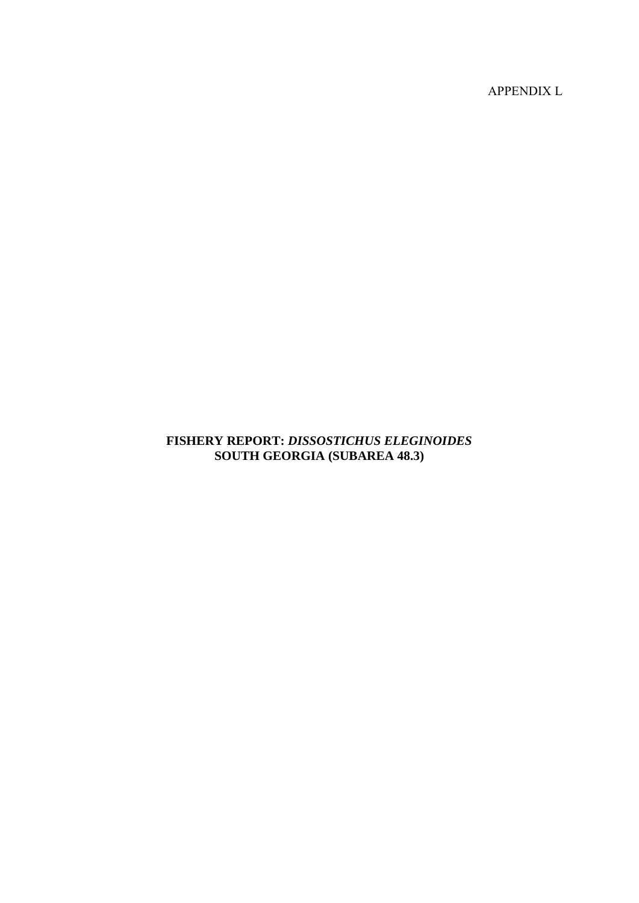APPENDIX L

# **FISHERY REPORT:** *DISSOSTICHUS ELEGINOIDES* **SOUTH GEORGIA (SUBAREA 48.3)**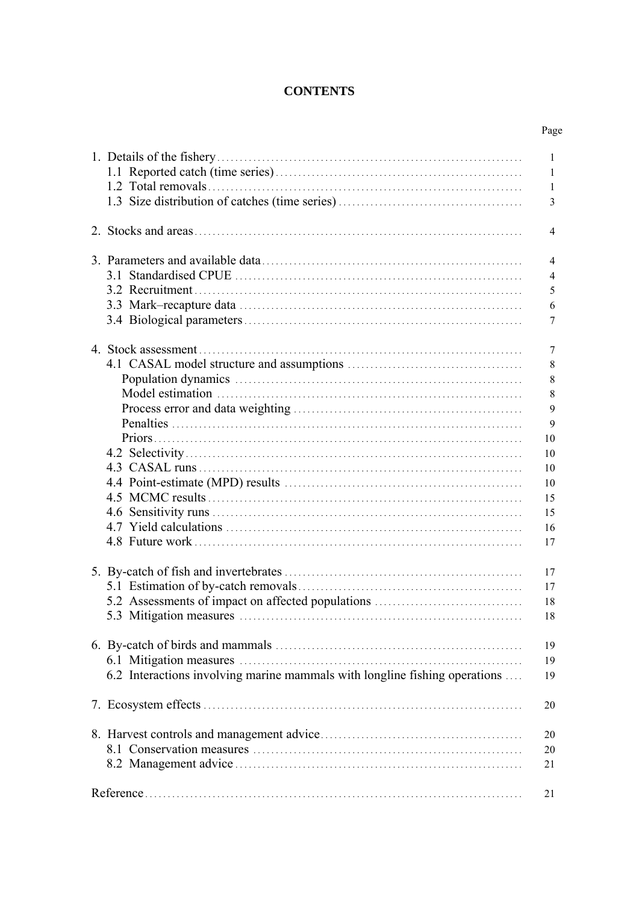# **CONTENTS**

|                                                                            | Page                                                                       |
|----------------------------------------------------------------------------|----------------------------------------------------------------------------|
|                                                                            | 1<br>$\mathbf{1}$<br>$\mathbf{1}$<br>3                                     |
|                                                                            | 4                                                                          |
|                                                                            | 4<br>$\overline{4}$<br>5<br>6<br>7                                         |
|                                                                            | 7<br>8<br>8<br>8<br>9<br>9<br>10<br>10<br>10<br>10<br>15<br>15<br>16<br>17 |
| 5.2 Assessments of impact on affected populations                          | 17<br>17<br>18<br>18                                                       |
| 6.2 Interactions involving marine mammals with longline fishing operations | 19<br>19<br>19                                                             |
|                                                                            | 20                                                                         |
|                                                                            | 20<br>20<br>21                                                             |
|                                                                            | 21                                                                         |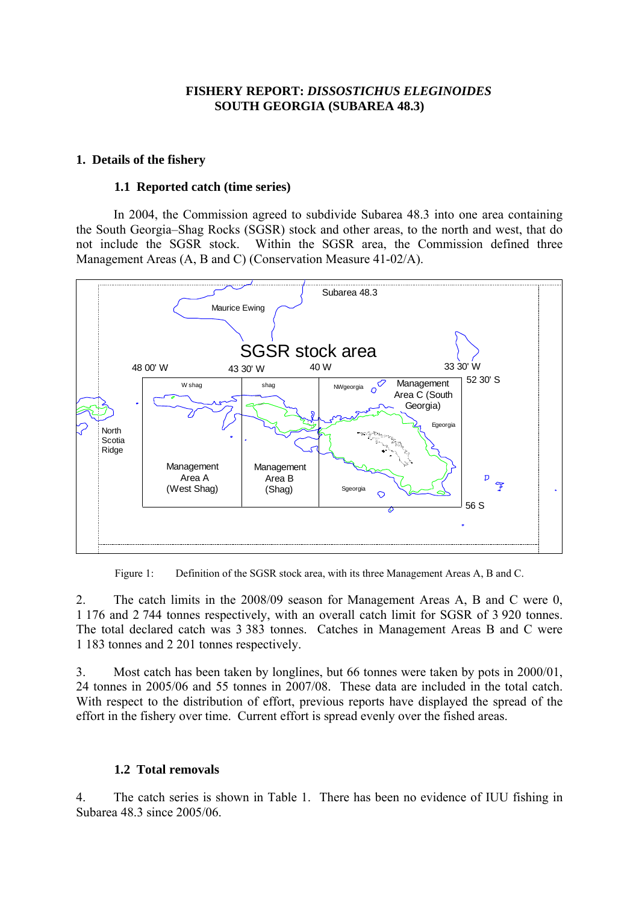### **FISHERY REPORT:** *DISSOSTICHUS ELEGINOIDES* **SOUTH GEORGIA (SUBAREA 48.3)**

### <span id="page-2-0"></span>**1. Details of the fishery**

#### **1.1 Reported catch (time series)**

 In 2004, the Commission agreed to subdivide Subarea 48.3 into one area containing the South Georgia–Shag Rocks (SGSR) stock and other areas, to the north and west, that do not include the SGSR stock. Within the SGSR area, the Commission defined three Management Areas (A, B and C) (Conservation Measure 41-02/A).



Figure 1: Definition of the SGSR stock area, with its three Management Areas A, B and C.

2. The catch limits in the 2008/09 season for Management Areas A, B and C were 0, 1 176 and 2 744 tonnes respectively, with an overall catch limit for SGSR of 3 920 tonnes. The total declared catch was 3 383 tonnes. Catches in Management Areas B and C were 1 183 tonnes and 2 201 tonnes respectively.

3. Most catch has been taken by longlines, but 66 tonnes were taken by pots in 2000/01, 24 tonnes in 2005/06 and 55 tonnes in 2007/08. These data are included in the total catch. With respect to the distribution of effort, previous reports have displayed the spread of the effort in the fishery over time. Current effort is spread evenly over the fished areas.

### **1.2 Total removals**

4. The catch series is shown in Table 1. There has been no evidence of IUU fishing in Subarea 48.3 since 2005/06.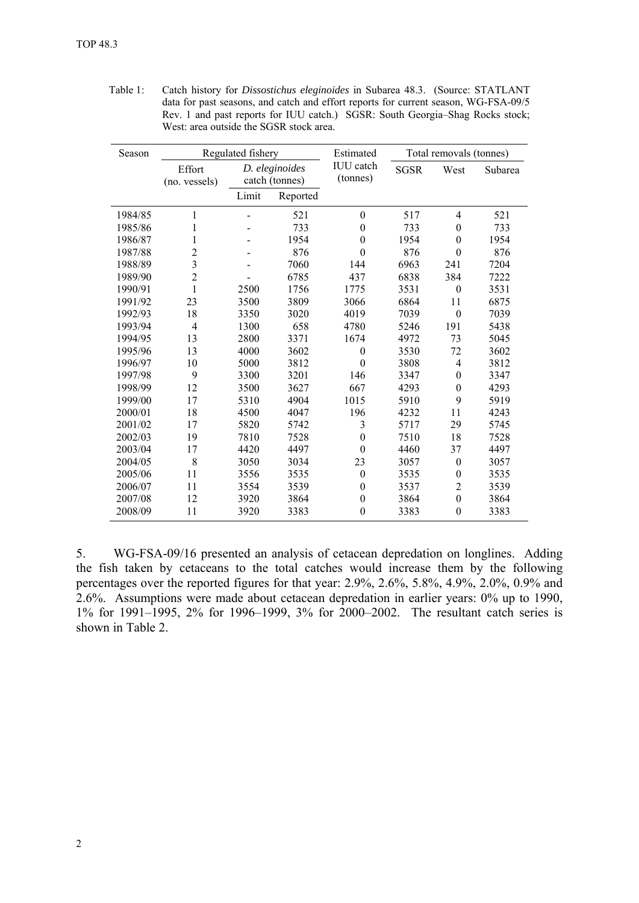| Table 1: | Catch history for <i>Dissostichus eleginoides</i> in Subarea 48.3. (Source: STATLANT |
|----------|--------------------------------------------------------------------------------------|
|          | data for past seasons, and catch and effort reports for current season, WG-FSA-09/5  |
|          | Rev. 1 and past reports for IUU catch.) SGSR: South Georgia–Shag Rocks stock;        |
|          | West: area outside the SGSR stock area.                                              |

| Season  |                         | Regulated fishery                |          | Estimated                    | Total removals (tonnes) |                  |         |  |
|---------|-------------------------|----------------------------------|----------|------------------------------|-------------------------|------------------|---------|--|
|         | Effort<br>(no. vessels) | D. eleginoides<br>catch (tonnes) |          | <b>IUU</b> catch<br>(tonnes) | <b>SGSR</b>             | West             | Subarea |  |
|         |                         | Limit                            | Reported |                              |                         |                  |         |  |
| 1984/85 | 1                       |                                  | 521      | $\boldsymbol{0}$             | 517                     | $\overline{4}$   | 521     |  |
| 1985/86 | 1                       |                                  | 733      | $\boldsymbol{0}$             | 733                     | $\boldsymbol{0}$ | 733     |  |
| 1986/87 | 1                       |                                  | 1954     | $\mathbf{0}$                 | 1954                    | $\boldsymbol{0}$ | 1954    |  |
| 1987/88 | $\overline{2}$          |                                  | 876      | $\theta$                     | 876                     | $\theta$         | 876     |  |
| 1988/89 | 3                       |                                  | 7060     | 144                          | 6963                    | 241              | 7204    |  |
| 1989/90 | $\overline{2}$          |                                  | 6785     | 437                          | 6838                    | 384              | 7222    |  |
| 1990/91 | 1                       | 2500                             | 1756     | 1775                         | 3531                    | $\theta$         | 3531    |  |
| 1991/92 | 23                      | 3500                             | 3809     | 3066                         | 6864                    | 11               | 6875    |  |
| 1992/93 | 18                      | 3350                             | 3020     | 4019                         | 7039                    | $\boldsymbol{0}$ | 7039    |  |
| 1993/94 | $\overline{4}$          | 1300                             | 658      | 4780                         | 5246                    | 191              | 5438    |  |
| 1994/95 | 13                      | 2800                             | 3371     | 1674                         | 4972                    | 73               | 5045    |  |
| 1995/96 | 13                      | 4000                             | 3602     | $\boldsymbol{0}$             | 3530                    | 72               | 3602    |  |
| 1996/97 | 10                      | 5000                             | 3812     | $\theta$                     | 3808                    | $\overline{4}$   | 3812    |  |
| 1997/98 | 9                       | 3300                             | 3201     | 146                          | 3347                    | $\boldsymbol{0}$ | 3347    |  |
| 1998/99 | 12                      | 3500                             | 3627     | 667                          | 4293                    | $\boldsymbol{0}$ | 4293    |  |
| 1999/00 | 17                      | 5310                             | 4904     | 1015                         | 5910                    | 9                | 5919    |  |
| 2000/01 | 18                      | 4500                             | 4047     | 196                          | 4232                    | 11               | 4243    |  |
| 2001/02 | 17                      | 5820                             | 5742     | 3                            | 5717                    | 29               | 5745    |  |
| 2002/03 | 19                      | 7810                             | 7528     | $\mathbf{0}$                 | 7510                    | 18               | 7528    |  |
| 2003/04 | 17                      | 4420                             | 4497     | $\theta$                     | 4460                    | 37               | 4497    |  |
| 2004/05 | 8                       | 3050                             | 3034     | 23                           | 3057                    | $\boldsymbol{0}$ | 3057    |  |
| 2005/06 | 11                      | 3556                             | 3535     | $\boldsymbol{0}$             | 3535                    | $\boldsymbol{0}$ | 3535    |  |
| 2006/07 | 11                      | 3554                             | 3539     | $\boldsymbol{0}$             | 3537                    | $\overline{2}$   | 3539    |  |
| 2007/08 | 12                      | 3920                             | 3864     | $\boldsymbol{0}$             | 3864                    | $\boldsymbol{0}$ | 3864    |  |
| 2008/09 | 11                      | 3920                             | 3383     | $\boldsymbol{0}$             | 3383                    | $\boldsymbol{0}$ | 3383    |  |

5. WG-FSA-09/16 presented an analysis of cetacean depredation on longlines. Adding the fish taken by cetaceans to the total catches would increase them by the following percentages over the reported figures for that year: 2.9%, 2.6%, 5.8%, 4.9%, 2.0%, 0.9% and 2.6%. Assumptions were made about cetacean depredation in earlier years: 0% up to 1990, 1% for 1991–1995, 2% for 1996–1999, 3% for 2000–2002. The resultant catch series is shown in Table 2.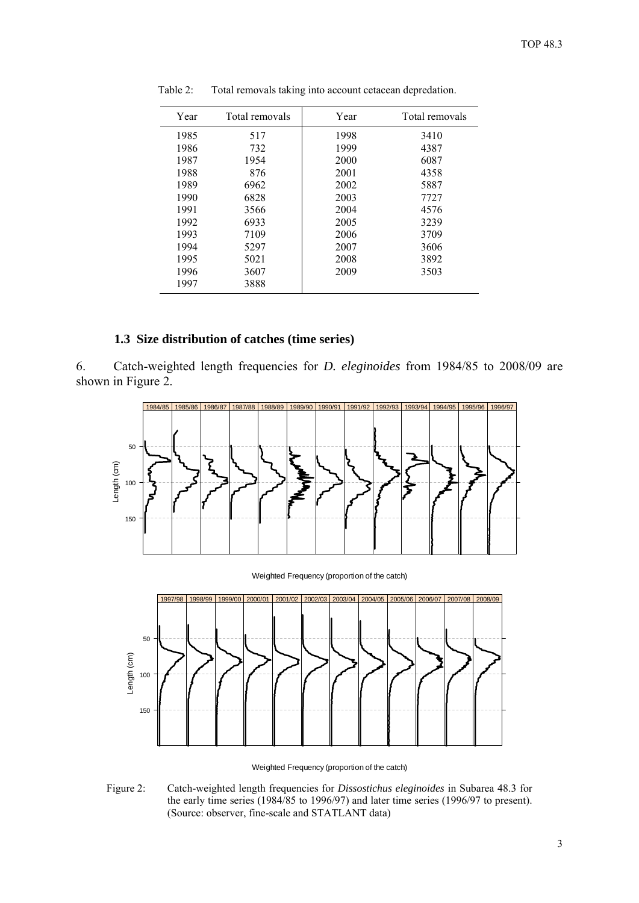| Year | Total removals | Year | Total removals |
|------|----------------|------|----------------|
| 1985 | 517            | 1998 | 3410           |
| 1986 | 732            | 1999 | 4387           |
| 1987 | 1954           | 2000 | 6087           |
| 1988 | 876            | 2001 | 4358           |
| 1989 | 6962           | 2002 | 5887           |
| 1990 | 6828           | 2003 | 7727           |
| 1991 | 3566           | 2004 | 4576           |
| 1992 | 6933           | 2005 | 3239           |
| 1993 | 7109           | 2006 | 3709           |
| 1994 | 5297           | 2007 | 3606           |
| 1995 | 5021           | 2008 | 3892           |
| 1996 | 3607           | 2009 | 3503           |
| 1997 | 3888           |      |                |

<span id="page-4-0"></span>Table 2: Total removals taking into account cetacean depredation.

# **1.3 Size distribution of catches (time series)**

6. Catch-weighted length frequencies for *D. eleginoides* from 1984/85 to 2008/09 are shown in Figure 2.



Weighted Frequency (proportion of the catch)



Weighted Frequency (proportion of the catch)

Figure 2: Catch-weighted length frequencies for *Dissostichus eleginoides* in Subarea 48.3 for the early time series (1984/85 to 1996/97) and later time series (1996/97 to present). (Source: observer, fine-scale and STATLANT data)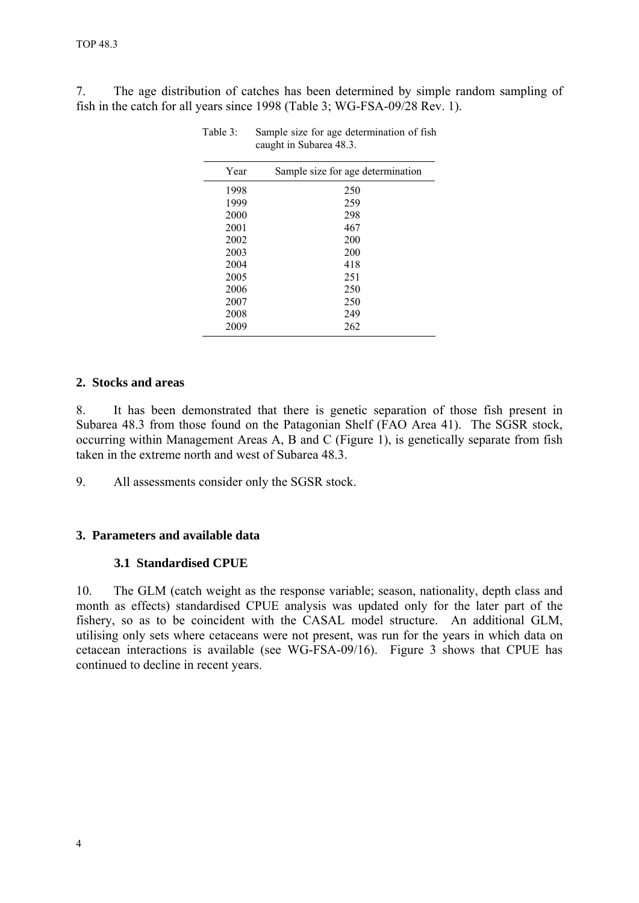<span id="page-5-0"></span>7. The age distribution of catches has been determined by simple random sampling of fish in the catch for all years since 1998 (Table 3; WG-FSA-09/28 Rev. 1).

| Year | Sample size for age determination |
|------|-----------------------------------|
| 1998 | 250                               |
| 1999 | 259                               |
| 2000 | 298                               |
| 2001 | 467                               |
| 2002 | 200                               |
| 2003 | 200                               |
| 2004 | 418                               |
| 2005 | 251                               |
| 2006 | 250                               |
| 2007 | 250                               |
| 2008 | 249                               |
| 2009 | 262                               |

Table 3: Sample size for age determination of fish caught in Subarea 48.3.

# **2. Stocks and areas**

8. It has been demonstrated that there is genetic separation of those fish present in Subarea 48.3 from those found on the Patagonian Shelf (FAO Area 41). The SGSR stock, occurring within Management Areas A, B and C (Figure 1), is genetically separate from fish taken in the extreme north and west of Subarea 48.3.

9. All assessments consider only the SGSR stock.

# **3. Parameters and available data**

### **3.1 Standardised CPUE**

10. The GLM (catch weight as the response variable; season, nationality, depth class and month as effects) standardised CPUE analysis was updated only for the later part of the fishery, so as to be coincident with the CASAL model structure. An additional GLM, utilising only sets where cetaceans were not present, was run for the years in which data on cetacean interactions is available (see WG-FSA-09/16). Figure 3 shows that CPUE has continued to decline in recent years.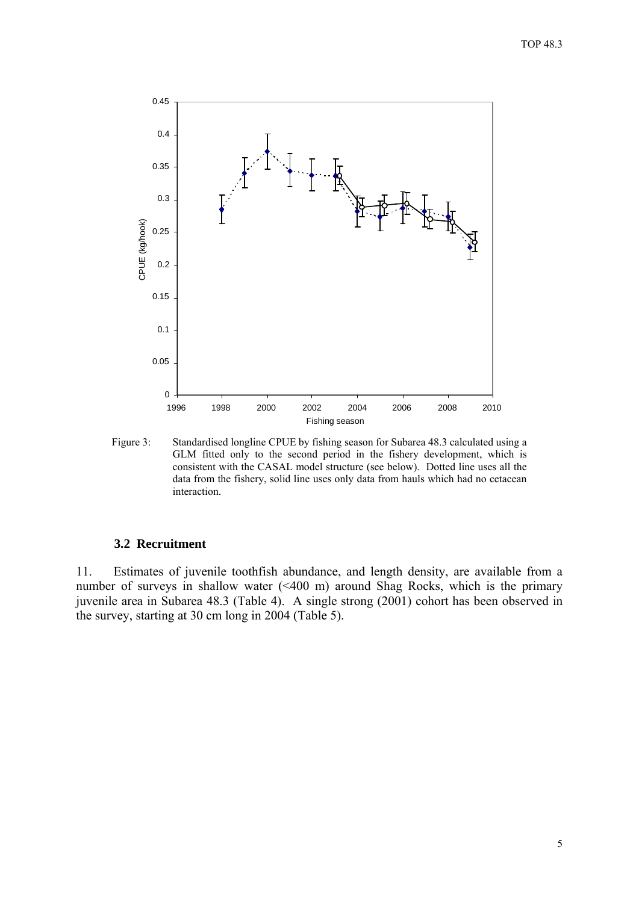<span id="page-6-0"></span>

Figure 3: Standardised longline CPUE by fishing season for Subarea 48.3 calculated using a GLM fitted only to the second period in the fishery development, which is consistent with the CASAL model structure (see below). Dotted line uses all the data from the fishery, solid line uses only data from hauls which had no cetacean interaction.

#### **3.2 Recruitment**

11. Estimates of juvenile toothfish abundance, and length density, are available from a number of surveys in shallow water (<400 m) around Shag Rocks, which is the primary juvenile area in Subarea 48.3 (Table 4). A single strong (2001) cohort has been observed in the survey, starting at 30 cm long in 2004 (Table 5).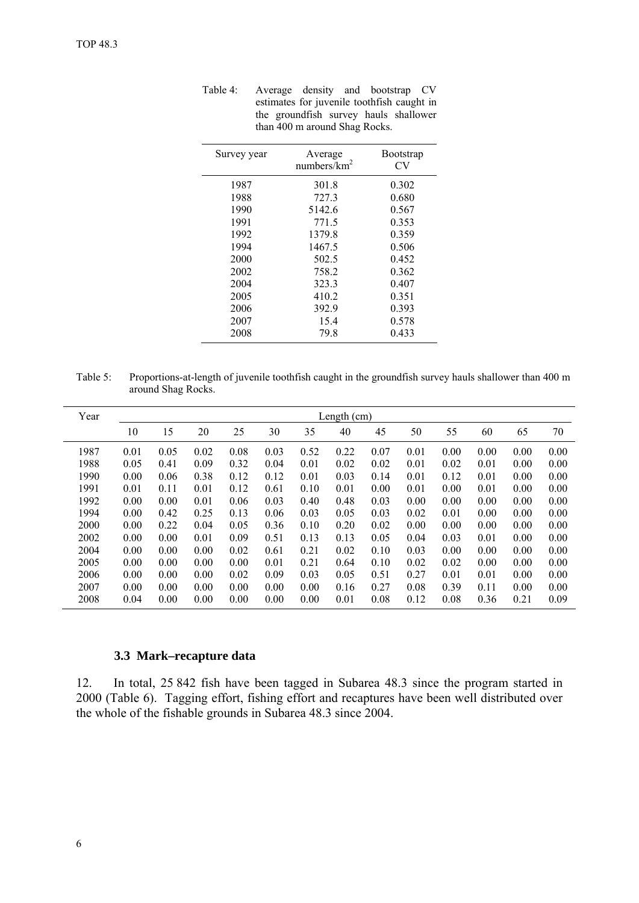| Survey year | Average<br>numbers/ $km^2$ | <b>Bootstrap</b><br>CV |
|-------------|----------------------------|------------------------|
| 1987        | 301.8                      | 0.302                  |
| 1988        | 727.3                      | 0.680                  |
| 1990        | 5142.6                     | 0.567                  |
| 1991        | 771.5                      | 0.353                  |
| 1992        | 1379.8                     | 0.359                  |
| 1994        | 1467.5                     | 0.506                  |
| 2000        | 502.5                      | 0.452                  |
| 2002        | 758.2                      | 0.362                  |
| 2004        | 323.3                      | 0.407                  |
| 2005        | 410.2                      | 0.351                  |
| 2006        | 392.9                      | 0.393                  |
| 2007        | 15.4                       | 0.578                  |
| 2008        | 79.8                       | 0.433                  |

<span id="page-7-0"></span>Table 4: Average density and bootstrap CV estimates for juvenile toothfish caught in the groundfish survey hauls shallower than 400 m around Shag Rocks.

Table 5: Proportions-at-length of juvenile toothfish caught in the groundfish survey hauls shallower than 400 m around Shag Rocks.

| Year | Length $(cm)$ |      |      |      |      |      |      |      |      |      |      |      |      |
|------|---------------|------|------|------|------|------|------|------|------|------|------|------|------|
|      | 10            | 15   | 20   | 25   | 30   | 35   | 40   | 45   | 50   | 55   | 60   | 65   | 70   |
| 1987 | 0.01          | 0.05 | 0.02 | 0.08 | 0.03 | 0.52 | 0.22 | 0.07 | 0.01 | 0.00 | 0.00 | 0.00 | 0.00 |
| 1988 | 0.05          | 0.41 | 0.09 | 0.32 | 0.04 | 0.01 | 0.02 | 0.02 | 0.01 | 0.02 | 0.01 | 0.00 | 0.00 |
| 1990 | 0.00          | 0.06 | 0.38 | 0.12 | 0.12 | 0.01 | 0.03 | 0.14 | 0.01 | 0.12 | 0.01 | 0.00 | 0.00 |
| 1991 | 0.01          | 0.11 | 0.01 | 0.12 | 0.61 | 0.10 | 0.01 | 0.00 | 0.01 | 0.00 | 0.01 | 0.00 | 0.00 |
| 1992 | 0.00          | 0.00 | 0.01 | 0.06 | 0.03 | 0.40 | 0.48 | 0.03 | 0.00 | 0.00 | 0.00 | 0.00 | 0.00 |
| 1994 | 0.00          | 0.42 | 0.25 | 0.13 | 0.06 | 0.03 | 0.05 | 0.03 | 0.02 | 0.01 | 0.00 | 0.00 | 0.00 |
| 2000 | 0.00          | 0.22 | 0.04 | 0.05 | 0.36 | 0.10 | 0.20 | 0.02 | 0.00 | 0.00 | 0.00 | 0.00 | 0.00 |
| 2002 | 0.00          | 0.00 | 0.01 | 0.09 | 0.51 | 0.13 | 0.13 | 0.05 | 0.04 | 0.03 | 0.01 | 0.00 | 0.00 |
| 2004 | 0.00          | 0.00 | 0.00 | 0.02 | 0.61 | 0.21 | 0.02 | 0.10 | 0.03 | 0.00 | 0.00 | 0.00 | 0.00 |
| 2005 | 0.00          | 0.00 | 0.00 | 0.00 | 0.01 | 0.21 | 0.64 | 0.10 | 0.02 | 0.02 | 0.00 | 0.00 | 0.00 |
| 2006 | 0.00          | 0.00 | 0.00 | 0.02 | 0.09 | 0.03 | 0.05 | 0.51 | 0.27 | 0.01 | 0.01 | 0.00 | 0.00 |
| 2007 | 0.00          | 0.00 | 0.00 | 0.00 | 0.00 | 0.00 | 0.16 | 0.27 | 0.08 | 0.39 | 0.11 | 0.00 | 0.00 |
| 2008 | 0.04          | 0.00 | 0.00 | 0.00 | 0.00 | 0.00 | 0.01 | 0.08 | 0.12 | 0.08 | 0.36 | 0.21 | 0.09 |

#### **3.3 Mark–recapture data**

12. In total, 25 842 fish have been tagged in Subarea 48.3 since the program started in 2000 (Table 6). Tagging effort, fishing effort and recaptures have been well distributed over the whole of the fishable grounds in Subarea 48.3 since 2004.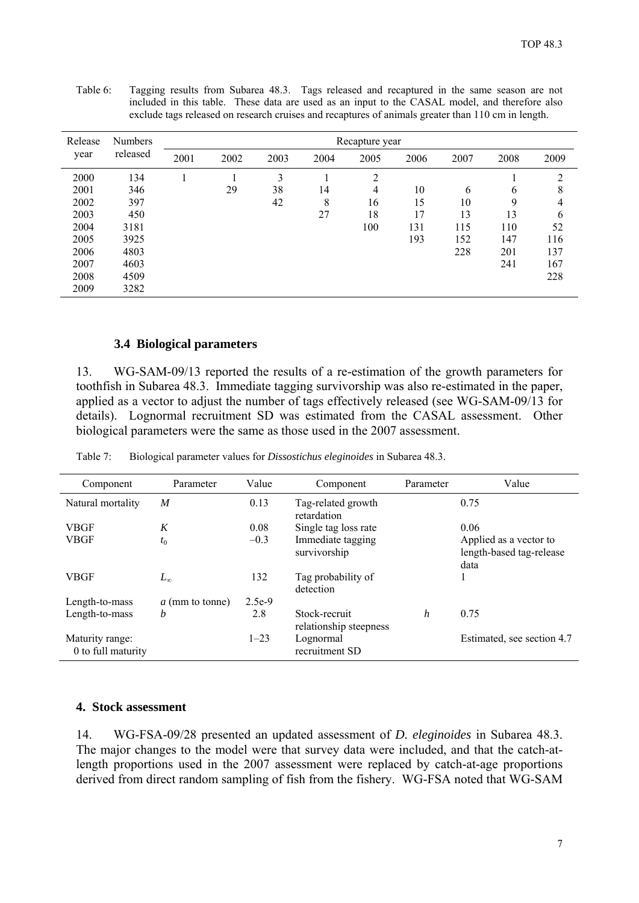|         |                | --- 0- |      |      | ∽г   |                | 5    |      |      | ----o---- |
|---------|----------------|--------|------|------|------|----------------|------|------|------|-----------|
| Release | <b>Numbers</b> |        |      |      |      | Recapture year |      |      |      |           |
| year    | released       | 2001   | 2002 | 2003 | 2004 | 2005           | 2006 | 2007 | 2008 | 2009      |
| 2000    | 134            |        |      | 3    |      | 2              |      |      |      | 2         |
| 2001    | 346            |        | 29   | 38   | 14   | 4              | 10   | 6    | 6    | 8         |
| 2002    | 397            |        |      | 42   | 8    | 16             | 15   | 10   | 9    | 4         |
| 2003    | 450            |        |      |      | 27   | 18             | 17   | 13   | 13   | 6         |
| 2004    | 3181           |        |      |      |      | 100            | 131  | 115  | 110  | 52        |
| 2005    | 3925           |        |      |      |      |                | 193  | 152  | 147  | 116       |
| 2006    | 4803           |        |      |      |      |                |      | 228  | 201  | 137       |
| 2007    | 4603           |        |      |      |      |                |      |      | 241  | 167       |
| 2008    | 4509           |        |      |      |      |                |      |      |      | 228       |
| 2009    | 3282           |        |      |      |      |                |      |      |      |           |

<span id="page-8-0"></span>Table 6: Tagging results from Subarea 48.3. Tags released and recaptured in the same season are not included in this table. These data are used as an input to the CASAL model, and therefore also exclude tags released on research cruises and recaptures of animals greater than 110 cm in length.

### **3.4 Biological parameters**

13. WG-SAM-09/13 reported the results of a re-estimation of the growth parameters for toothfish in Subarea 48.3. Immediate tagging survivorship was also re-estimated in the paper, applied as a vector to adjust the number of tags effectively released (see WG-SAM-09/13 for details). Lognormal recruitment SD was estimated from the CASAL assessment. Other biological parameters were the same as those used in the 2007 assessment.

| Component                             | Parameter       | Value    | Component                               | Parameter | Value                                                      |
|---------------------------------------|-----------------|----------|-----------------------------------------|-----------|------------------------------------------------------------|
| Natural mortality                     | M               | 0.13     | Tag-related growth<br>retardation       |           | 0.75                                                       |
| <b>VBGF</b>                           | K               | 0.08     | Single tag loss rate                    |           | 0.06                                                       |
| <b>VBGF</b>                           | $t_0$           | $-0.3$   | Immediate tagging<br>survivorship       |           | Applied as a vector to<br>length-based tag-release<br>data |
| <b>VBGF</b>                           | $L_{\infty}$    | 132      | Tag probability of<br>detection         |           |                                                            |
| Length-to-mass                        | a (mm to tonne) | $2.5e-9$ |                                         |           |                                                            |
| Length-to-mass                        | h               | 2.8      | Stock-recruit<br>relationship steepness | h         | 0.75                                                       |
| Maturity range:<br>0 to full maturity |                 | $1 - 23$ | Lognormal<br>recruitment SD             |           | Estimated, see section 4.7                                 |

Table 7: Biological parameter values for *Dissostichus eleginoides* in Subarea 48.3.

#### **4. Stock assessment**

14. WG-FSA-09/28 presented an updated assessment of *D. eleginoides* in Subarea 48.3. The major changes to the model were that survey data were included, and that the catch-atlength proportions used in the 2007 assessment were replaced by catch-at-age proportions derived from direct random sampling of fish from the fishery. WG-FSA noted that WG-SAM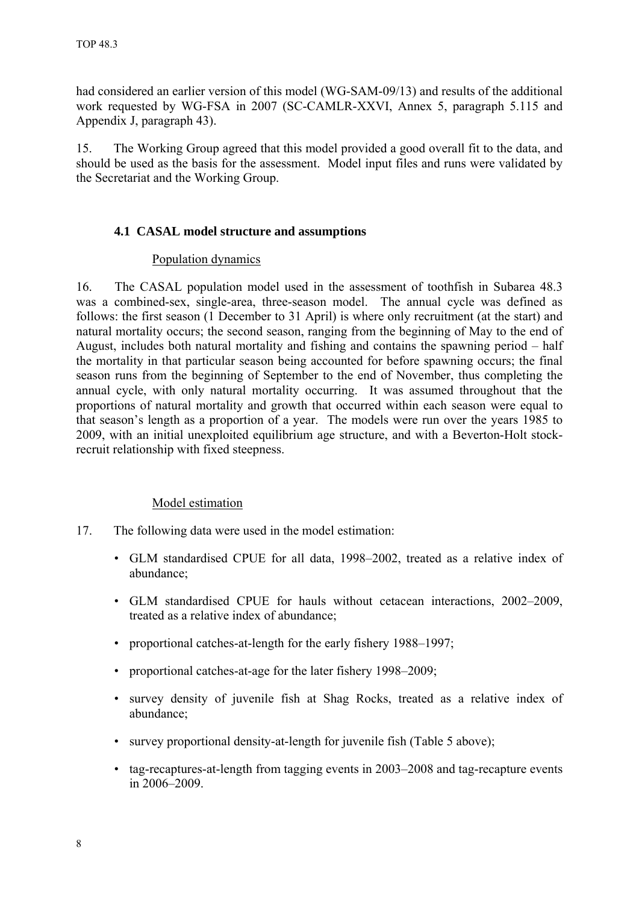<span id="page-9-0"></span>had considered an earlier version of this model (WG-SAM-09/13) and results of the additional work requested by WG-FSA in 2007 (SC-CAMLR-XXVI, Annex 5, paragraph 5.115 and Appendix J, paragraph 43).

15. The Working Group agreed that this model provided a good overall fit to the data, and should be used as the basis for the assessment. Model input files and runs were validated by the Secretariat and the Working Group.

# **4.1 CASAL model structure and assumptions**

### Population dynamics

16. The CASAL population model used in the assessment of toothfish in Subarea 48.3 was a combined-sex, single-area, three-season model. The annual cycle was defined as follows: the first season (1 December to 31 April) is where only recruitment (at the start) and natural mortality occurs; the second season, ranging from the beginning of May to the end of August, includes both natural mortality and fishing and contains the spawning period – half the mortality in that particular season being accounted for before spawning occurs; the final season runs from the beginning of September to the end of November, thus completing the annual cycle, with only natural mortality occurring. It was assumed throughout that the proportions of natural mortality and growth that occurred within each season were equal to that season's length as a proportion of a year. The models were run over the years 1985 to 2009, with an initial unexploited equilibrium age structure, and with a Beverton-Holt stockrecruit relationship with fixed steepness.

### Model estimation

- 17. The following data were used in the model estimation:
	- GLM standardised CPUE for all data, 1998–2002, treated as a relative index of abundance;
	- GLM standardised CPUE for hauls without cetacean interactions, 2002–2009, treated as a relative index of abundance;
	- proportional catches-at-length for the early fishery 1988–1997;
	- proportional catches-at-age for the later fishery 1998–2009;
	- survey density of juvenile fish at Shag Rocks, treated as a relative index of abundance;
	- survey proportional density-at-length for juvenile fish (Table 5 above);
	- tag-recaptures-at-length from tagging events in 2003–2008 and tag-recapture events in 2006–2009.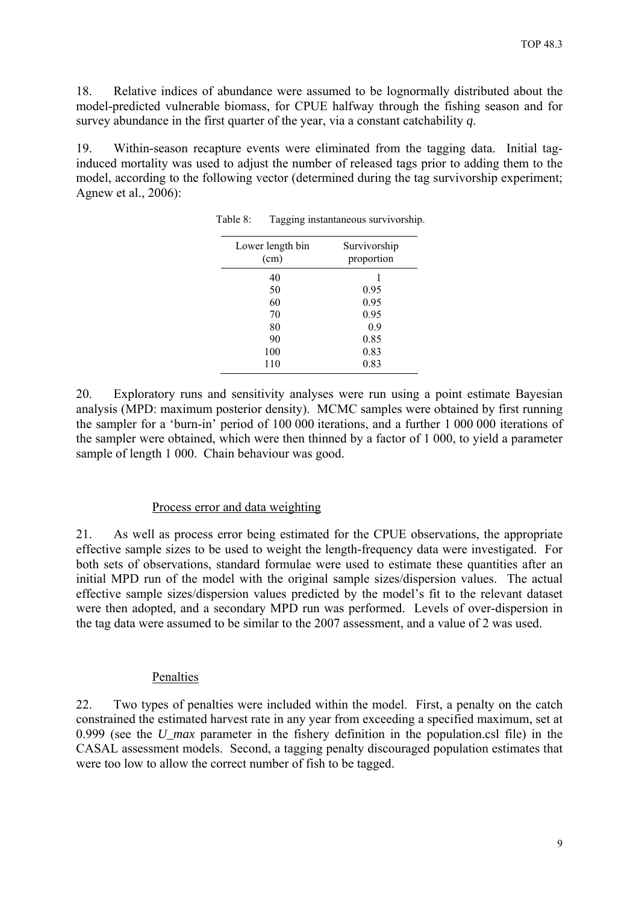<span id="page-10-0"></span>18. Relative indices of abundance were assumed to be lognormally distributed about the model-predicted vulnerable biomass, for CPUE halfway through the fishing season and for survey abundance in the first quarter of the year, via a constant catchability *q*.

19. Within-season recapture events were eliminated from the tagging data. Initial taginduced mortality was used to adjust the number of released tags prior to adding them to the model, according to the following vector (determined during the tag survivorship experiment; Agnew et al., 2006):

| Lower length bin<br>(cm) | Survivorship<br>proportion |
|--------------------------|----------------------------|
| 40                       | 1                          |
| 50                       | 0.95                       |
| 60                       | 0.95                       |
| 70                       | 0.95                       |
| 80                       | 0.9                        |
| 90                       | 0.85                       |
| 100                      | 0.83                       |
| 110                      | 0.83                       |

Table 8: Tagging instantaneous survivorship.

20. Exploratory runs and sensitivity analyses were run using a point estimate Bayesian analysis (MPD: maximum posterior density). MCMC samples were obtained by first running the sampler for a 'burn-in' period of 100 000 iterations, and a further 1 000 000 iterations of the sampler were obtained, which were then thinned by a factor of 1 000, to yield a parameter sample of length 1 000. Chain behaviour was good.

#### Process error and data weighting

21. As well as process error being estimated for the CPUE observations, the appropriate effective sample sizes to be used to weight the length-frequency data were investigated. For both sets of observations, standard formulae were used to estimate these quantities after an initial MPD run of the model with the original sample sizes/dispersion values. The actual effective sample sizes/dispersion values predicted by the model's fit to the relevant dataset were then adopted, and a secondary MPD run was performed. Levels of over-dispersion in the tag data were assumed to be similar to the 2007 assessment, and a value of 2 was used.

#### Penalties

22. Two types of penalties were included within the model. First, a penalty on the catch constrained the estimated harvest rate in any year from exceeding a specified maximum, set at 0.999 (see the *U\_max* parameter in the fishery definition in the population.csl file) in the CASAL assessment models. Second, a tagging penalty discouraged population estimates that were too low to allow the correct number of fish to be tagged.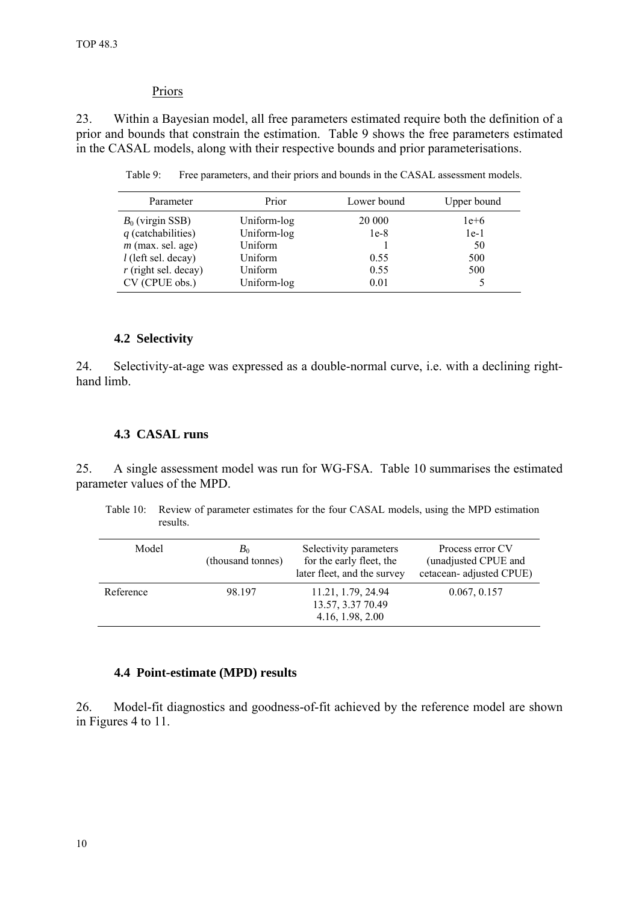### Priors

<span id="page-11-0"></span>23. Within a Bayesian model, all free parameters estimated require both the definition of a prior and bounds that constrain the estimation. Table 9 shows the free parameters estimated in the CASAL models, along with their respective bounds and prior parameterisations.

| Parameter              | Prior       | Lower bound | Upper bound |
|------------------------|-------------|-------------|-------------|
| $B_0$ (virgin SSB)     | Uniform-log | 20 000      | $1e+6$      |
| $q$ (catchabilities)   | Uniform-log | $1e-8$      | $1e-1$      |
| $m$ (max. sel. age)    | Uniform     |             | 50          |
| $l$ (left sel. decay)  | Uniform     | 0.55        | 500         |
| $r$ (right sel. decay) | Uniform     | 0.55        | 500         |
| CV (CPUE obs.)         | Uniform-log | 0.01        |             |

Table 9: Free parameters, and their priors and bounds in the CASAL assessment models.

### **4.2 Selectivity**

24. Selectivity-at-age was expressed as a double-normal curve, i.e. with a declining righthand limb.

### **4.3 CASAL runs**

25. A single assessment model was run for WG-FSA. Table 10 summarises the estimated parameter values of the MPD.

Table 10: Review of parameter estimates for the four CASAL models, using the MPD estimation results.

| Model     | B <sub>0</sub><br>(thousand tonnes) | Selectivity parameters<br>for the early fleet, the<br>later fleet, and the survey | Process error CV<br>(unadjusted CPUE and<br>cetacean-adjusted CPUE) |
|-----------|-------------------------------------|-----------------------------------------------------------------------------------|---------------------------------------------------------------------|
| Reference | 98.197                              | 11.21, 1.79, 24.94<br>13.57, 3.37 70.49<br>4.16, 1.98, 2.00                       | 0.067, 0.157                                                        |

### **4.4 Point-estimate (MPD) results**

26. Model-fit diagnostics and goodness-of-fit achieved by the reference model are shown in Figures 4 to 11.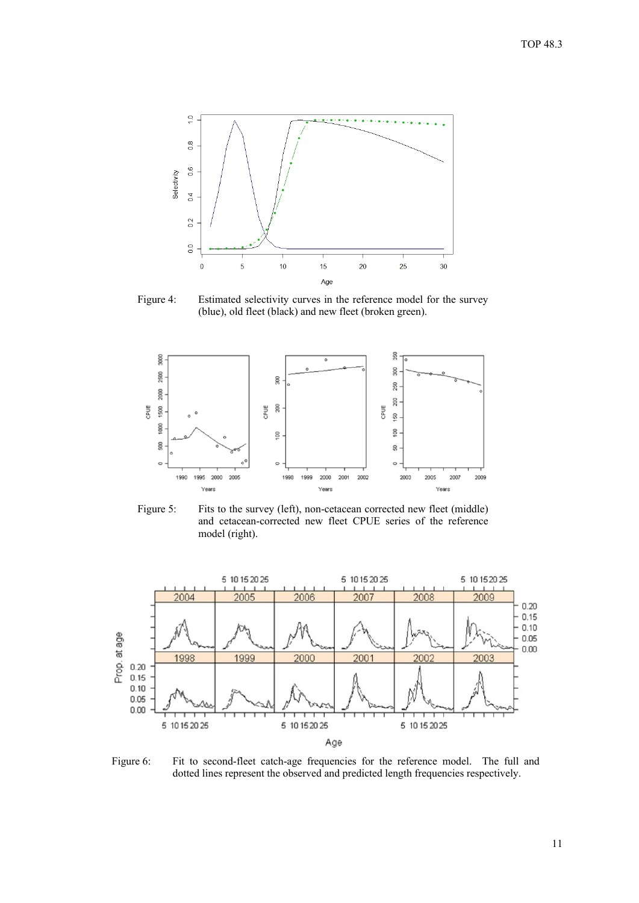

Figure 4: Estimated selectivity curves in the reference model for the survey (blue), old fleet (black) and new fleet (broken green).



Figure 5: Fits to the survey (left), non-cetacean corrected new fleet (middle) and cetacean-corrected new fleet CPUE series of the reference model (right).



Figure 6: Fit to second-fleet catch-age frequencies for the reference model. The full and dotted lines represent the observed and predicted length frequencies respectively.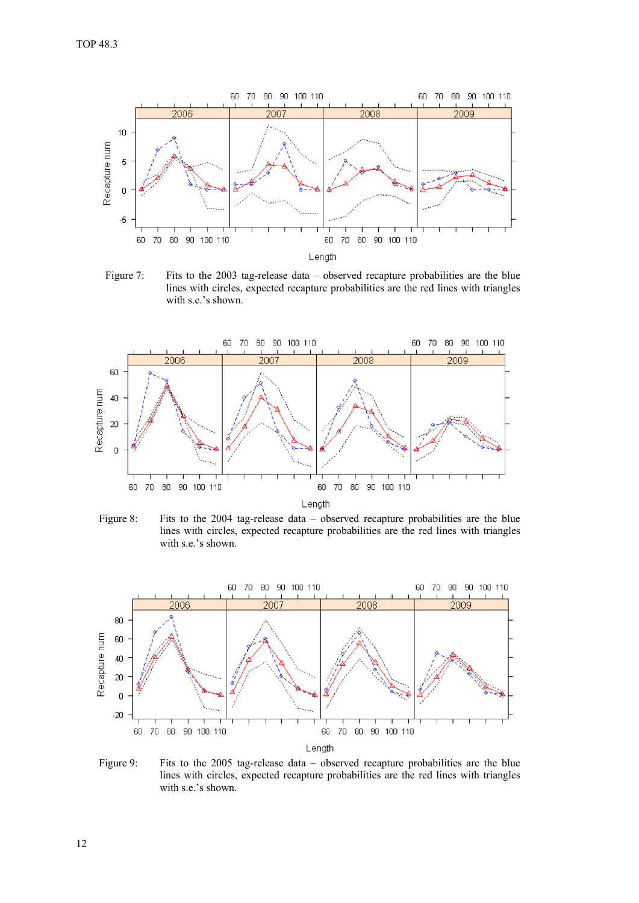

Figure 7: Fits to the 2003 tag-release data – observed recapture probabilities are the blue lines with circles, expected recapture probabilities are the red lines with triangles with s.e.'s shown.



Figure 8: Fits to the 2004 tag-release data – observed recapture probabilities are the blue lines with circles, expected recapture probabilities are the red lines with triangles with s.e.'s shown.



Figure 9: Fits to the 2005 tag-release data – observed recapture probabilities are the blue lines with circles, expected recapture probabilities are the red lines with triangles with s.e.'s shown.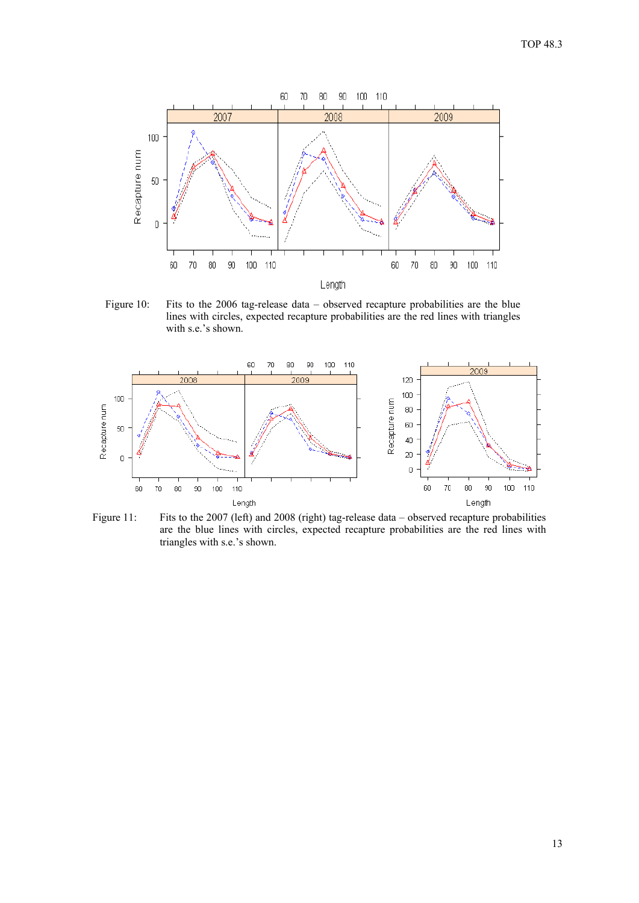

Figure 10: Fits to the 2006 tag-release data – observed recapture probabilities are the blue lines with circles, expected recapture probabilities are the red lines with triangles with s.e.'s shown.



Figure 11: Fits to the 2007 (left) and 2008 (right) tag-release data – observed recapture probabilities are the blue lines with circles, expected recapture probabilities are the red lines with triangles with s.e.'s shown.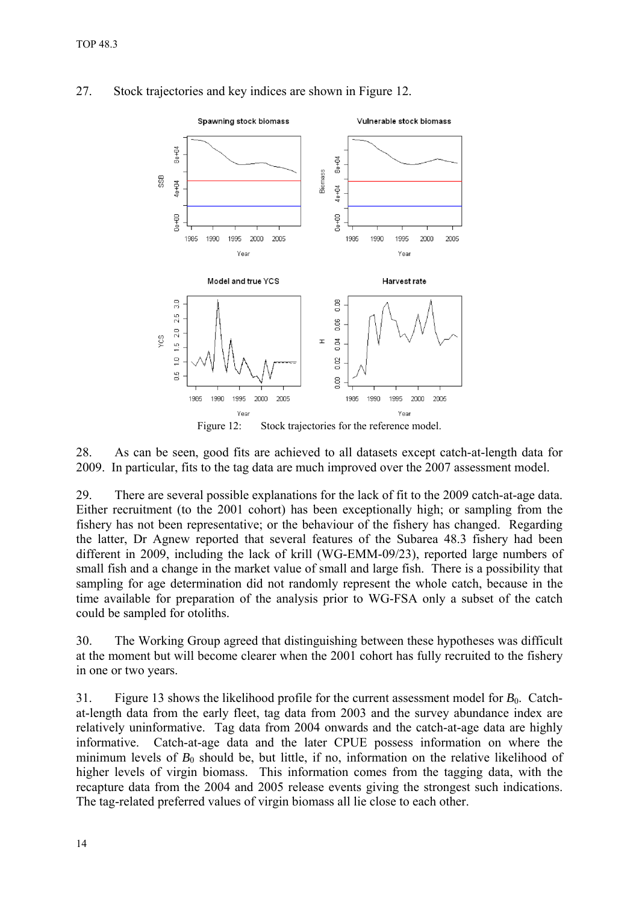

# 27. Stock trajectories and key indices are shown in Figure 12.

Figure 12: Stock trajectories for the reference model.

28. As can be seen, good fits are achieved to all datasets except catch-at-length data for 2009. In particular, fits to the tag data are much improved over the 2007 assessment model.

29. There are several possible explanations for the lack of fit to the 2009 catch-at-age data. Either recruitment (to the 2001 cohort) has been exceptionally high; or sampling from the fishery has not been representative; or the behaviour of the fishery has changed. Regarding the latter, Dr Agnew reported that several features of the Subarea 48.3 fishery had been different in 2009, including the lack of krill (WG-EMM-09/23), reported large numbers of small fish and a change in the market value of small and large fish. There is a possibility that sampling for age determination did not randomly represent the whole catch, because in the time available for preparation of the analysis prior to WG-FSA only a subset of the catch could be sampled for otoliths.

30. The Working Group agreed that distinguishing between these hypotheses was difficult at the moment but will become clearer when the 2001 cohort has fully recruited to the fishery in one or two years.

31. Figure 13 shows the likelihood profile for the current assessment model for  $B_0$ . Catchat-length data from the early fleet, tag data from 2003 and the survey abundance index are relatively uninformative. Tag data from 2004 onwards and the catch-at-age data are highly informative. Catch-at-age data and the later CPUE possess information on where the minimum levels of  $B_0$  should be, but little, if no, information on the relative likelihood of higher levels of virgin biomass. This information comes from the tagging data, with the recapture data from the 2004 and 2005 release events giving the strongest such indications. The tag-related preferred values of virgin biomass all lie close to each other.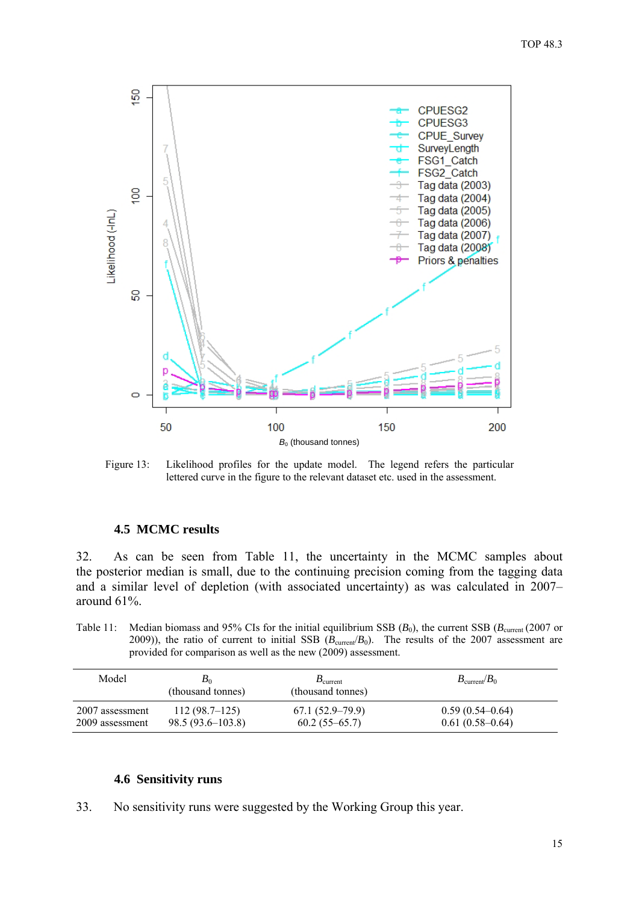<span id="page-16-0"></span>

Figure 13: Likelihood profiles for the update model. The legend refers the particular lettered curve in the figure to the relevant dataset etc. used in the assessment.

#### **4.5 MCMC results**

32. As can be seen from Table 11, the uncertainty in the MCMC samples about the posterior median is small, due to the continuing precision coming from the tagging data and a similar level of depletion (with associated uncertainty) as was calculated in 2007– around 61%.

Table 11: Median biomass and 95% CIs for the initial equilibrium SSB  $(B_0)$ , the current SSB  $(B_{\text{current}}(2007 \text{ or }$ 2009)), the ratio of current to initial SSB  $(B_{\text{current}}/B_0)$ . The results of the 2007 assessment are provided for comparison as well as the new (2009) assessment.

| Model           | $B_0$<br>(thousand tonnes) | $B_{\text{current}}$<br>(thousand tonnes) | $B_{\text{current}}/B_0$ |
|-----------------|----------------------------|-------------------------------------------|--------------------------|
| 2007 assessment | 112(98.7–125)              | $67.1(52.9-79.9)$                         | $0.59(0.54-0.64)$        |
| 2009 assessment | $98.5(93.6 - 103.8)$       | $60.2(55-65.7)$                           | $0.61(0.58-0.64)$        |

#### **4.6 Sensitivity runs**

33. No sensitivity runs were suggested by the Working Group this year.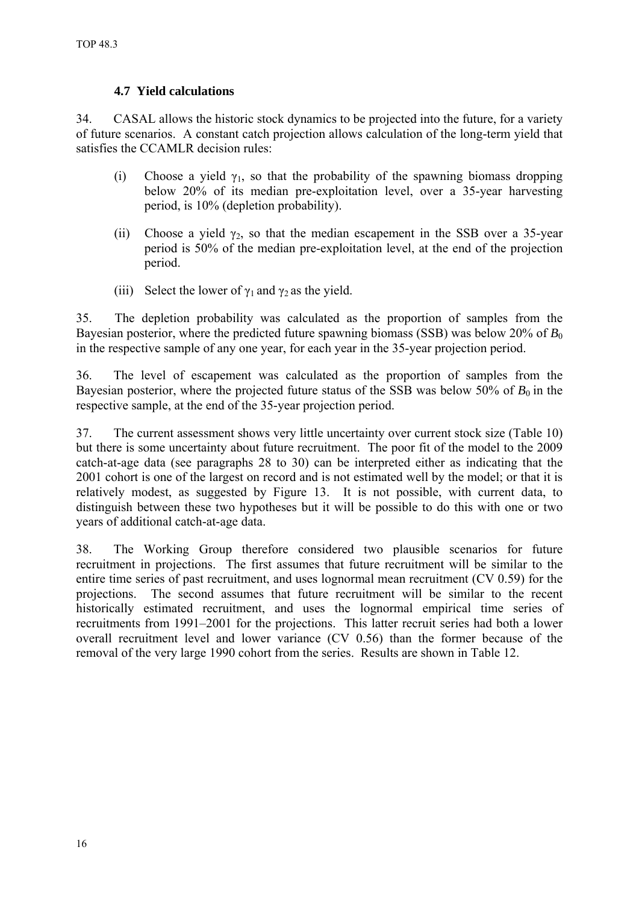# **4.7 Yield calculations**

<span id="page-17-0"></span>34. CASAL allows the historic stock dynamics to be projected into the future, for a variety of future scenarios. A constant catch projection allows calculation of the long-term yield that satisfies the CCAMLR decision rules:

- (i) Choose a yield  $\gamma_1$ , so that the probability of the spawning biomass dropping below 20% of its median pre-exploitation level, over a 35-year harvesting period, is 10% (depletion probability).
- (ii) Choose a yield  $\gamma_2$ , so that the median escapement in the SSB over a 35-year period is 50% of the median pre-exploitation level, at the end of the projection period.
- (iii) Select the lower of  $\gamma_1$  and  $\gamma_2$  as the yield.

35. The depletion probability was calculated as the proportion of samples from the Bayesian posterior, where the predicted future spawning biomass (SSB) was below 20% of *B*<sub>0</sub> in the respective sample of any one year, for each year in the 35-year projection period.

36. The level of escapement was calculated as the proportion of samples from the Bayesian posterior, where the projected future status of the SSB was below 50% of  $B_0$  in the respective sample, at the end of the 35-year projection period.

37. The current assessment shows very little uncertainty over current stock size (Table 10) but there is some uncertainty about future recruitment. The poor fit of the model to the 2009 catch-at-age data (see paragraphs 28 to 30) can be interpreted either as indicating that the 2001 cohort is one of the largest on record and is not estimated well by the model; or that it is relatively modest, as suggested by Figure 13. It is not possible, with current data, to distinguish between these two hypotheses but it will be possible to do this with one or two years of additional catch-at-age data.

38. The Working Group therefore considered two plausible scenarios for future recruitment in projections. The first assumes that future recruitment will be similar to the entire time series of past recruitment, and uses lognormal mean recruitment (CV 0.59) for the projections. The second assumes that future recruitment will be similar to the recent historically estimated recruitment, and uses the lognormal empirical time series of recruitments from 1991–2001 for the projections. This latter recruit series had both a lower overall recruitment level and lower variance (CV 0.56) than the former because of the removal of the very large 1990 cohort from the series. Results are shown in Table 12.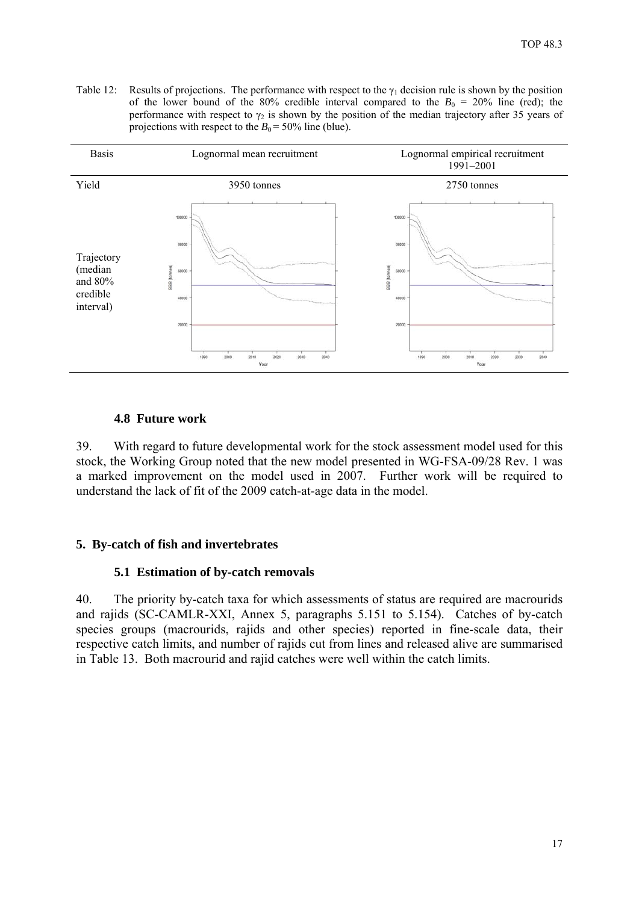<span id="page-18-0"></span>Table 12: Results of projections. The performance with respect to the  $\gamma_1$  decision rule is shown by the position of the lower bound of the 80% credible interval compared to the  $B_0 = 20\%$  line (red); the performance with respect to  $\gamma_2$  is shown by the position of the median trajectory after 35 years of projections with respect to the  $B_0 = 50\%$  line (blue).



# **4.8 Future work**

39. With regard to future developmental work for the stock assessment model used for this stock, the Working Group noted that the new model presented in WG-FSA-09/28 Rev. 1 was a marked improvement on the model used in 2007. Further work will be required to understand the lack of fit of the 2009 catch-at-age data in the model.

# **5. By-catch of fish and invertebrates**

# **5.1 Estimation of by-catch removals**

40. The priority by-catch taxa for which assessments of status are required are macrourids and rajids (SC-CAMLR-XXI, Annex 5, paragraphs 5.151 to 5.154). Catches of by-catch species groups (macrourids, rajids and other species) reported in fine-scale data, their respective catch limits, and number of rajids cut from lines and released alive are summarised in Table 13. Both macrourid and rajid catches were well within the catch limits.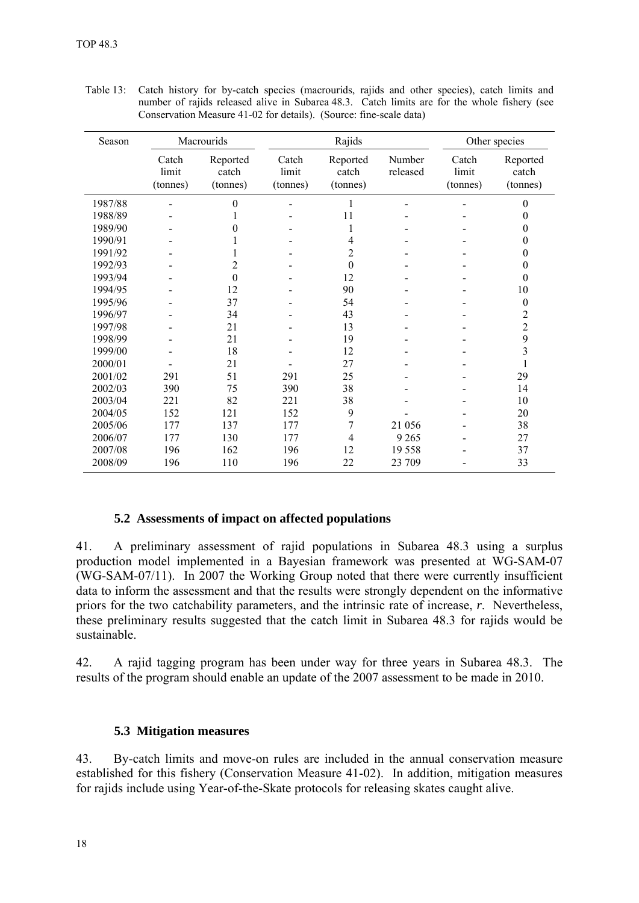| Season  |                            | Macrourids                    |                            | Rajids                        |                    |                            | Other species                 |
|---------|----------------------------|-------------------------------|----------------------------|-------------------------------|--------------------|----------------------------|-------------------------------|
|         | Catch<br>limit<br>(tonnes) | Reported<br>catch<br>(tonnes) | Catch<br>limit<br>(tonnes) | Reported<br>catch<br>(tonnes) | Number<br>released | Catch<br>limit<br>(tonnes) | Reported<br>catch<br>(tonnes) |
| 1987/88 |                            | $\theta$                      |                            | 1                             |                    |                            | $\mathbf{0}$                  |
| 1988/89 |                            |                               |                            | 11                            |                    |                            | $\boldsymbol{0}$              |
| 1989/90 |                            | 0                             |                            |                               |                    |                            | $\boldsymbol{0}$              |
| 1990/91 |                            |                               |                            | 4                             |                    |                            | $\theta$                      |
| 1991/92 |                            |                               |                            | $\overline{2}$                |                    |                            | $\boldsymbol{0}$              |
| 1992/93 |                            | $\overline{c}$                |                            | $\boldsymbol{0}$              |                    |                            | $\boldsymbol{0}$              |
| 1993/94 |                            | $\theta$                      |                            | 12                            |                    |                            | $\theta$                      |
| 1994/95 |                            | 12                            |                            | 90                            |                    |                            | 10                            |
| 1995/96 |                            | 37                            |                            | 54                            |                    |                            | $\boldsymbol{0}$              |
| 1996/97 |                            | 34                            |                            | 43                            |                    |                            | $\overline{c}$                |
| 1997/98 |                            | 21                            |                            | 13                            |                    |                            | $\overline{c}$                |
| 1998/99 |                            | 21                            |                            | 19                            |                    |                            | 9                             |
| 1999/00 |                            | 18                            |                            | 12                            |                    |                            | 3                             |
| 2000/01 |                            | 21                            |                            | 27                            |                    |                            |                               |
| 2001/02 | 291                        | 51                            | 291                        | 25                            |                    |                            | 29                            |
| 2002/03 | 390                        | 75                            | 390                        | 38                            |                    |                            | 14                            |
| 2003/04 | 221                        | 82                            | 221                        | 38                            |                    |                            | 10                            |
| 2004/05 | 152                        | 121                           | 152                        | 9                             |                    |                            | 20                            |
| 2005/06 | 177                        | 137                           | 177                        | 7                             | 21 056             |                            | 38                            |
| 2006/07 | 177                        | 130                           | 177                        | 4                             | 9 2 6 5            |                            | 27                            |
| 2007/08 | 196                        | 162                           | 196                        | 12                            | 19558              |                            | 37                            |
| 2008/09 | 196                        | 110                           | 196                        | 22                            | 23 709             |                            | 33                            |

<span id="page-19-0"></span>Table 13: Catch history for by-catch species (macrourids, rajids and other species), catch limits and number of rajids released alive in Subarea 48.3. Catch limits are for the whole fishery (see Conservation Measure 41-02 for details). (Source: fine-scale data)

# **5.2 Assessments of impact on affected populations**

41. A preliminary assessment of rajid populations in Subarea 48.3 using a surplus production model implemented in a Bayesian framework was presented at WG-SAM-07 (WG-SAM-07/11). In 2007 the Working Group noted that there were currently insufficient data to inform the assessment and that the results were strongly dependent on the informative priors for the two catchability parameters, and the intrinsic rate of increase, *r*. Nevertheless, these preliminary results suggested that the catch limit in Subarea 48.3 for rajids would be sustainable.

42. A rajid tagging program has been under way for three years in Subarea 48.3. The results of the program should enable an update of the 2007 assessment to be made in 2010.

### **5.3 Mitigation measures**

43. By-catch limits and move-on rules are included in the annual conservation measure established for this fishery (Conservation Measure 41-02). In addition, mitigation measures for rajids include using Year-of-the-Skate protocols for releasing skates caught alive.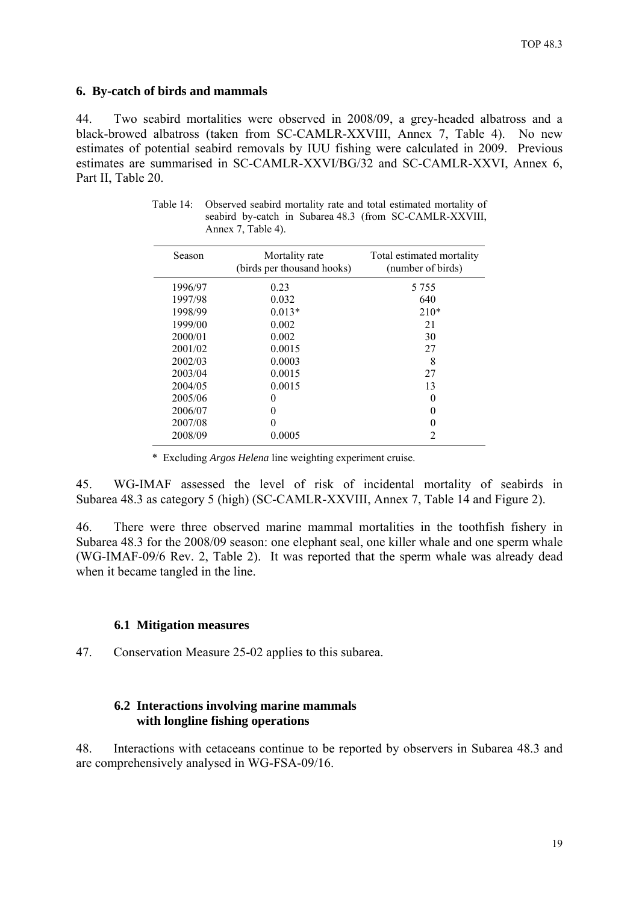### <span id="page-20-0"></span>**6. By-catch of birds and mammals**

44. Two seabird mortalities were observed in 2008/09, a grey-headed albatross and a black-browed albatross (taken from SC-CAMLR-XXVIII, Annex 7, Table 4). No new estimates of potential seabird removals by IUU fishing were calculated in 2009. Previous estimates are summarised in SC-CAMLR-XXVI/BG/32 and SC-CAMLR-XXVI, Annex 6, Part II, Table 20.

| Season  | Mortality rate<br>(birds per thousand hooks) | Total estimated mortality<br>(number of birds) |
|---------|----------------------------------------------|------------------------------------------------|
| 1996/97 | 0.23                                         | 5 7 5 5                                        |
| 1997/98 | 0.032                                        | 640                                            |
| 1998/99 | $0.013*$                                     | $210*$                                         |
| 1999/00 | 0.002                                        | 21                                             |
| 2000/01 | 0.002                                        | 30                                             |
| 2001/02 | 0.0015                                       | 27                                             |
| 2002/03 | 0.0003                                       | 8                                              |
| 2003/04 | 0.0015                                       | 27                                             |
| 2004/05 | 0.0015                                       | 13                                             |
| 2005/06 |                                              | 0                                              |
| 2006/07 |                                              | $\mathbf{0}$                                   |
| 2007/08 |                                              |                                                |

Table 14: Observed seabird mortality rate and total estimated mortality of seabird by-catch in Subarea 48.3 (from SC-CAMLR-XXVIII, Annex 7, Table 4).

\* Excluding *Argos Helena* line weighting experiment cruise.

2008/09 0.0005 2

45. WG-IMAF assessed the level of risk of incidental mortality of seabirds in Subarea 48.3 as category 5 (high) (SC-CAMLR-XXVIII, Annex 7, Table 14 and Figure 2).

46. There were three observed marine mammal mortalities in the toothfish fishery in Subarea 48.3 for the 2008/09 season: one elephant seal, one killer whale and one sperm whale (WG-IMAF-09/6 Rev. 2, Table 2). It was reported that the sperm whale was already dead when it became tangled in the line.

#### **6.1 Mitigation measures**

47. Conservation Measure 25-02 applies to this subarea.

# **6.2 Interactions involving marine mammals with longline fishing operations**

48. Interactions with cetaceans continue to be reported by observers in Subarea 48.3 and are comprehensively analysed in WG-FSA-09/16.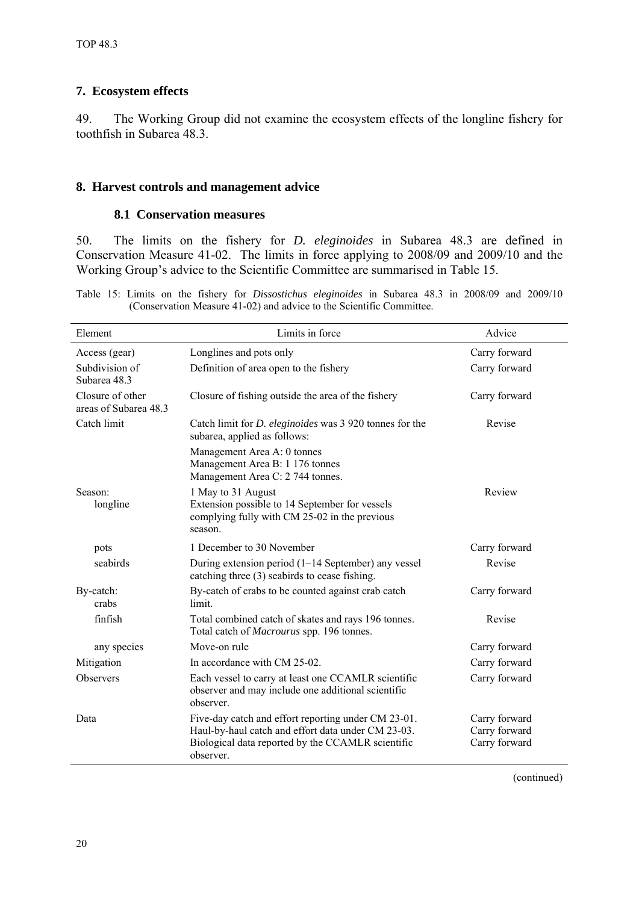# <span id="page-21-0"></span>**7. Ecosystem effects**

49. The Working Group did not examine the ecosystem effects of the longline fishery for toothfish in Subarea 48.3.

## **8. Harvest controls and management advice**

### **8.1 Conservation measures**

50. The limits on the fishery for *D. eleginoides* in Subarea 48.3 are defined in Conservation Measure 41-02. The limits in force applying to 2008/09 and 2009/10 and the Working Group's advice to the Scientific Committee are summarised in Table 15.

Table 15: Limits on the fishery for *Dissostichus eleginoides* in Subarea 48.3 in 2008/09 and 2009/10 (Conservation Measure 41-02) and advice to the Scientific Committee.

| Element                                   | Limits in force                                                                                                                  | Advice                         |
|-------------------------------------------|----------------------------------------------------------------------------------------------------------------------------------|--------------------------------|
| Access (gear)                             | Longlines and pots only                                                                                                          | Carry forward                  |
| Subdivision of<br>Subarea 48.3            | Definition of area open to the fishery                                                                                           | Carry forward                  |
| Closure of other<br>areas of Subarea 48.3 | Closure of fishing outside the area of the fishery                                                                               | Carry forward                  |
| Catch limit                               | Catch limit for <i>D. eleginoides</i> was 3 920 tonnes for the<br>subarea, applied as follows:                                   | Revise                         |
|                                           | Management Area A: 0 tonnes<br>Management Area B: 1 176 tonnes<br>Management Area C: 2 744 tonnes.                               |                                |
| Season:<br>longline                       | 1 May to 31 August<br>Extension possible to 14 September for vessels<br>complying fully with CM 25-02 in the previous<br>season. | Review                         |
| pots                                      | 1 December to 30 November                                                                                                        | Carry forward                  |
| seabirds                                  | During extension period $(1-14$ September) any vessel<br>catching three (3) seabirds to cease fishing.                           | Revise                         |
| By-catch:<br>crabs                        | By-catch of crabs to be counted against crab catch<br>limit.                                                                     | Carry forward                  |
| finfish                                   | Total combined catch of skates and rays 196 tonnes.<br>Total catch of Macrourus spp. 196 tonnes.                                 | Revise                         |
| any species                               | Move-on rule                                                                                                                     | Carry forward                  |
| Mitigation                                | In accordance with CM 25-02.                                                                                                     | Carry forward                  |
| Observers                                 | Each vessel to carry at least one CCAMLR scientific<br>observer and may include one additional scientific<br>observer.           | Carry forward                  |
| Data                                      | Five-day catch and effort reporting under CM 23-01.                                                                              | Carry forward                  |
|                                           | Haul-by-haul catch and effort data under CM 23-03.<br>Biological data reported by the CCAMLR scientific<br>observer.             | Carry forward<br>Carry forward |

(continued)